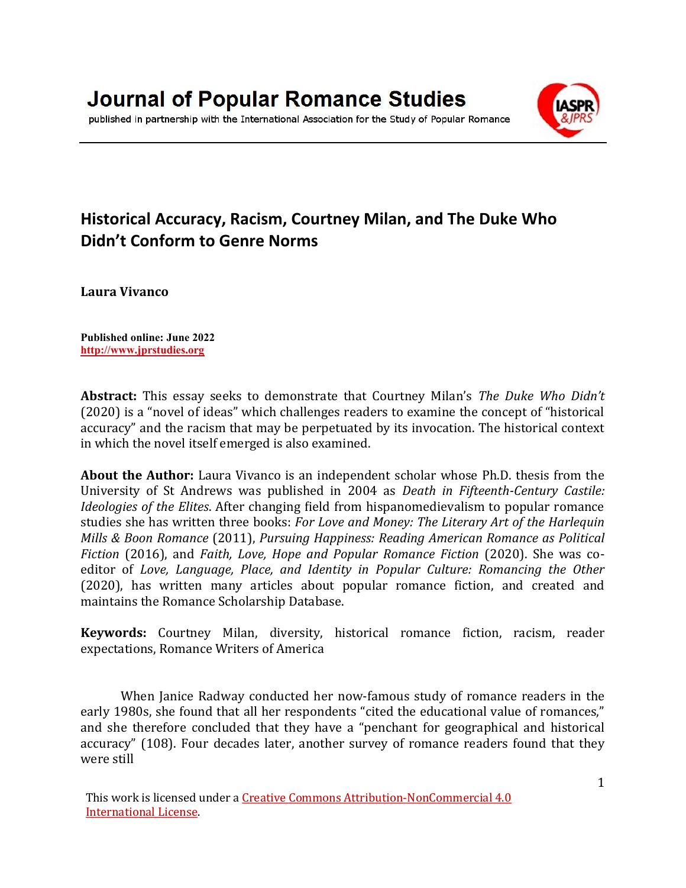

#### published in partnership with the International Association for the Study of Popular Romance

# **Historical Accuracy, Racism, Courtney Milan, and The Duke Who Didn't Conform to Genre Norms**

**Laura Vivanco**

**Published online: June 2022 [http://www.jprstudies.org](http://www.jprstudies.org/)**

**Abstract:** This essay seeks to demonstrate that Courtney Milan's *The Duke Who Didn't* (2020) is a "novel of ideas" which challenges readers to examine the concept of "historical accuracy" and the racism that may be perpetuated by its invocation. The historical context in which the novel itself emerged is also examined.

**About the Author:** Laura Vivanco is an independent scholar whose Ph.D. thesis from the University of St Andrews was published in 2004 as *Death in Fifteenth-Century Castile: Ideologies of the Elites*. After changing field from hispanomedievalism to popular romance studies she has written three books: *For Love and Money: The Literary Art of the Harlequin Mills & Boon Romance* (2011), *Pursuing Happiness: Reading American Romance as Political Fiction* (2016), and *Faith, Love, Hope and Popular Romance Fiction* (2020). She was coeditor of *Love, Language, Place, and Identity in Popular Culture: Romancing the Other* (2020), has written many articles about popular romance fiction, and created and maintains the Romance Scholarship Database.

**Keywords:** Courtney Milan, diversity, historical romance fiction, racism, reader expectations, Romance Writers of America

When Janice Radway conducted her now-famous study of romance readers in the early 1980s, she found that all her respondents "cited the educational value of romances," and she therefore concluded that they have a "penchant for geographical and historical accuracy" (108). Four decades later, another survey of romance readers found that they were still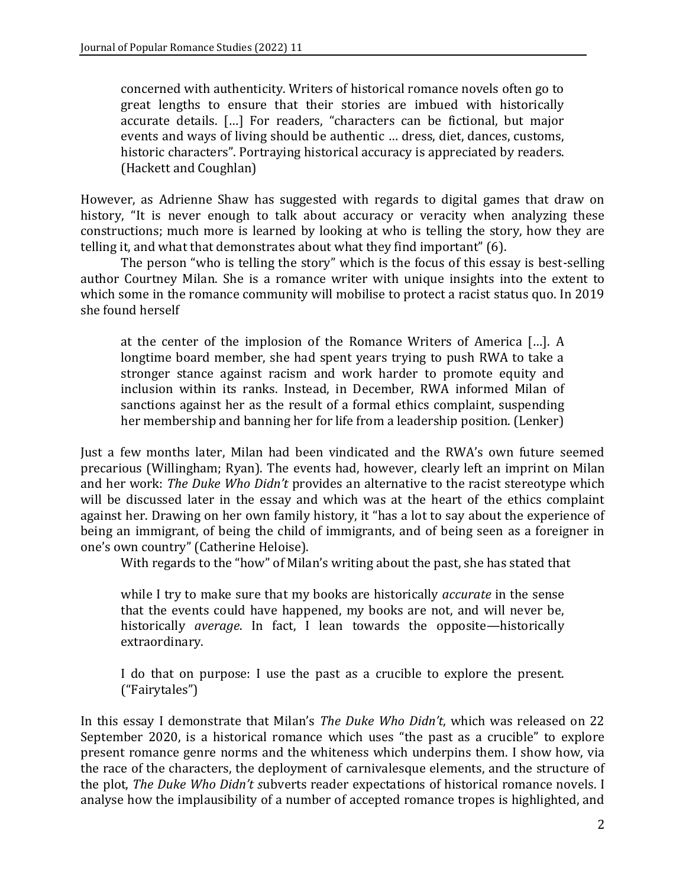concerned with authenticity. Writers of historical romance novels often go to great lengths to ensure that their stories are imbued with historically accurate details. […] For readers, "characters can be fictional, but major events and ways of living should be authentic … dress, diet, dances, customs, historic characters". Portraying historical accuracy is appreciated by readers. (Hackett and Coughlan)

However, as Adrienne Shaw has suggested with regards to digital games that draw on history, "It is never enough to talk about accuracy or veracity when analyzing these constructions; much more is learned by looking at who is telling the story, how they are telling it, and what that demonstrates about what they find important" (6).

The person "who is telling the story" which is the focus of this essay is best-selling author Courtney Milan. She is a romance writer with unique insights into the extent to which some in the romance community will mobilise to protect a racist status quo. In 2019 she found herself

at the center of the implosion of the Romance Writers of America […]. A longtime board member, she had spent years trying to push RWA to take a stronger stance against racism and work harder to promote equity and inclusion within its ranks. Instead, in December, RWA informed Milan of sanctions against her as the result of a formal ethics complaint, suspending her membership and banning her for life from a leadership position. (Lenker)

Just a few months later, Milan had been vindicated and the RWA's own future seemed precarious (Willingham; Ryan). The events had, however, clearly left an imprint on Milan and her work: *The Duke Who Didn't* provides an alternative to the racist stereotype which will be discussed later in the essay and which was at the heart of the ethics complaint against her. Drawing on her own family history, it "has a lot to say about the experience of being an immigrant, of being the child of immigrants, and of being seen as a foreigner in one's own country" (Catherine Heloise).

With regards to the "how" of Milan's writing about the past, she has stated that

while I try to make sure that my books are historically *accurate* in the sense that the events could have happened, my books are not, and will never be, historically *average*. In fact, I lean towards the opposite—historically extraordinary.

I do that on purpose: I use the past as a crucible to explore the present. ("Fairytales")

In this essay I demonstrate that Milan's *The Duke Who Didn't*, which was released on 22 September 2020, is a historical romance which uses "the past as a crucible" to explore present romance genre norms and the whiteness which underpins them. I show how, via the race of the characters, the deployment of carnivalesque elements, and the structure of the plot, *The Duke Who Didn't s*ubverts reader expectations of historical romance novels. I analyse how the implausibility of a number of accepted romance tropes is highlighted, and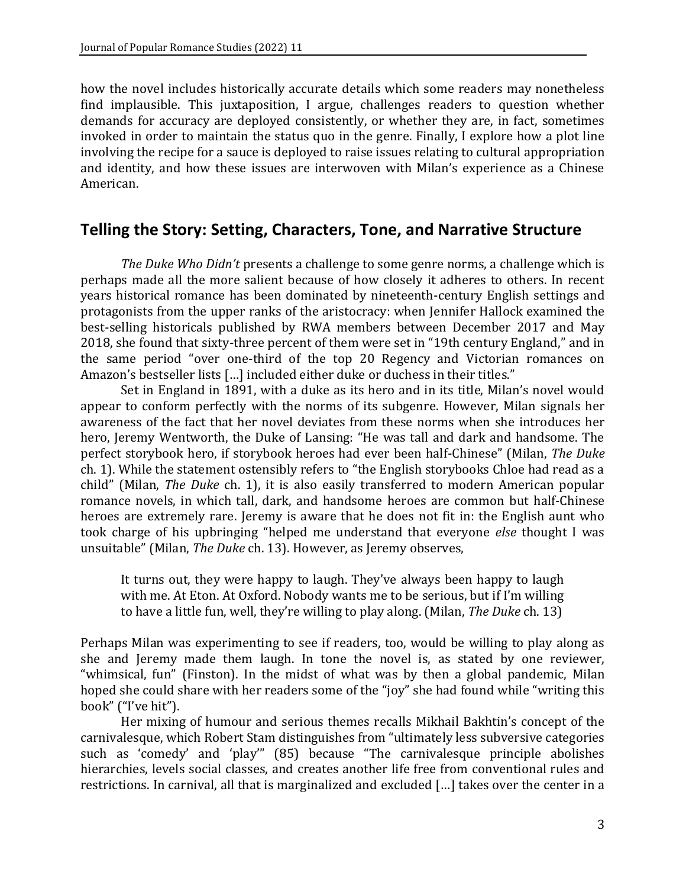how the novel includes historically accurate details which some readers may nonetheless find implausible. This juxtaposition, I argue, challenges readers to question whether demands for accuracy are deployed consistently, or whether they are, in fact, sometimes invoked in order to maintain the status quo in the genre. Finally, I explore how a plot line involving the recipe for a sauce is deployed to raise issues relating to cultural appropriation and identity, and how these issues are interwoven with Milan's experience as a Chinese American.

### **Telling the Story: Setting, Characters, Tone, and Narrative Structure**

*The Duke Who Didn't* presents a challenge to some genre norms, a challenge which is perhaps made all the more salient because of how closely it adheres to others. In recent years historical romance has been dominated by nineteenth-century English settings and protagonists from the upper ranks of the aristocracy: when Jennifer Hallock examined the best-selling historicals published by RWA members between December 2017 and May 2018, she found that sixty-three percent of them were set in "19th century England," and in the same period "over one-third of the top 20 Regency and Victorian romances on Amazon's bestseller lists […] included either duke or duchess in their titles."

Set in England in 1891, with a duke as its hero and in its title, Milan's novel would appear to conform perfectly with the norms of its subgenre. However, Milan signals her awareness of the fact that her novel deviates from these norms when she introduces her hero, Jeremy Wentworth, the Duke of Lansing: "He was tall and dark and handsome. The perfect storybook hero, if storybook heroes had ever been half-Chinese" (Milan, *The Duke* ch. 1). While the statement ostensibly refers to "the English storybooks Chloe had read as a child" (Milan, *The Duke* ch. 1), it is also easily transferred to modern American popular romance novels, in which tall, dark, and handsome heroes are common but half-Chinese heroes are extremely rare. Jeremy is aware that he does not fit in: the English aunt who took charge of his upbringing "helped me understand that everyone *else* thought I was unsuitable" (Milan, *The Duke* ch. 13). However, as Jeremy observes,

It turns out, they were happy to laugh. They've always been happy to laugh with me. At Eton. At Oxford. Nobody wants me to be serious, but if I'm willing to have a little fun, well, they're willing to play along. (Milan, *The Duke* ch. 13)

Perhaps Milan was experimenting to see if readers, too, would be willing to play along as she and Jeremy made them laugh. In tone the novel is, as stated by one reviewer, "whimsical, fun" (Finston). In the midst of what was by then a global pandemic, Milan hoped she could share with her readers some of the "joy" she had found while "writing this book" ("I've hit").

Her mixing of humour and serious themes recalls Mikhail Bakhtin's concept of the carnivalesque, which Robert Stam distinguishes from "ultimately less subversive categories such as 'comedy' and 'play'" (85) because "The carnivalesque principle abolishes hierarchies, levels social classes, and creates another life free from conventional rules and restrictions. In carnival, all that is marginalized and excluded […] takes over the center in a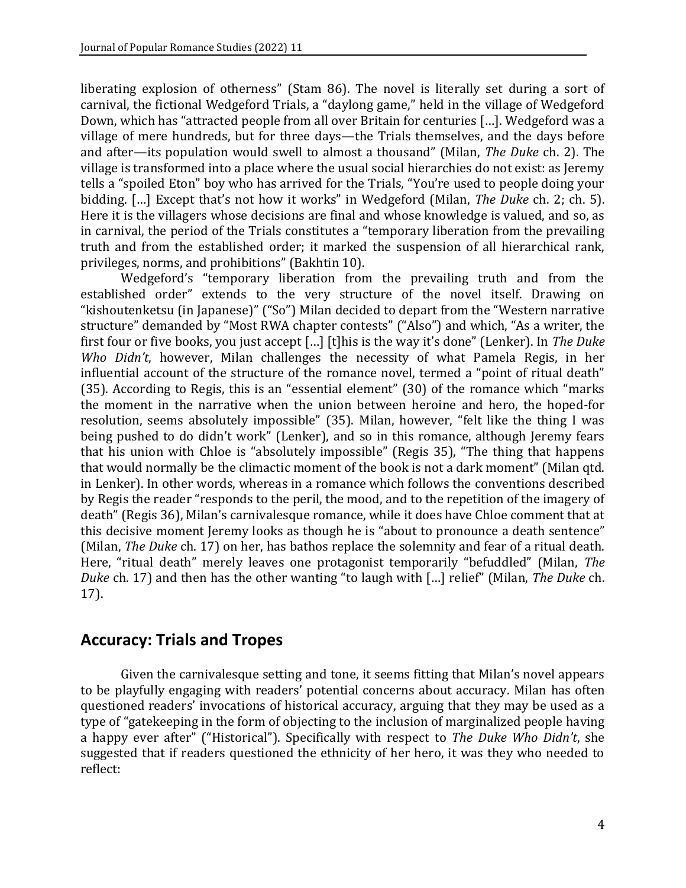liberating explosion of otherness" (Stam 86). The novel is literally set during a sort of carnival, the fictional Wedgeford Trials, a "daylong game," held in the village of Wedgeford Down, which has "attracted people from all over Britain for centuries […]. Wedgeford was a village of mere hundreds, but for three days—the Trials themselves, and the days before and after—its population would swell to almost a thousand" (Milan, *The Duke* ch. 2). The village is transformed into a place where the usual social hierarchies do not exist: as Jeremy tells a "spoiled Eton" boy who has arrived for the Trials, "You're used to people doing your bidding. […] Except that's not how it works" in Wedgeford (Milan, *The Duke* ch. 2; ch. 5). Here it is the villagers whose decisions are final and whose knowledge is valued, and so, as in carnival, the period of the Trials constitutes a "temporary liberation from the prevailing truth and from the established order; it marked the suspension of all hierarchical rank, privileges, norms, and prohibitions" (Bakhtin 10).

Wedgeford's "temporary liberation from the prevailing truth and from the established order" extends to the very structure of the novel itself. Drawing on "kishoutenketsu (in Japanese)" ("So") Milan decided to depart from the "Western narrative structure" demanded by "Most RWA chapter contests" ("Also") and which, "As a writer, the first four or five books, you just accept […] [t]his is the way it's done" (Lenker). In *The Duke Who Didn't*, however, Milan challenges the necessity of what Pamela Regis, in her influential account of the structure of the romance novel, termed a "point of ritual death" (35). According to Regis, this is an "essential element" (30) of the romance which "marks the moment in the narrative when the union between heroine and hero, the hoped-for resolution, seems absolutely impossible" (35). Milan, however, "felt like the thing I was being pushed to do didn't work" (Lenker), and so in this romance, although Jeremy fears that his union with Chloe is "absolutely impossible" (Regis 35), "The thing that happens that would normally be the climactic moment of the book is not a dark moment" (Milan qtd. in Lenker). In other words, whereas in a romance which follows the conventions described by Regis the reader "responds to the peril, the mood, and to the repetition of the imagery of death" (Regis 36), Milan's carnivalesque romance, while it does have Chloe comment that at this decisive moment Jeremy looks as though he is "about to pronounce a death sentence" (Milan, *The Duke* ch. 17) on her, has bathos replace the solemnity and fear of a ritual death. Here, "ritual death" merely leaves one protagonist temporarily "befuddled" (Milan, *The Duke* ch. 17) and then has the other wanting "to laugh with […] relief" (Milan, *The Duke* ch. 17).

### **Accuracy: Trials and Tropes**

Given the carnivalesque setting and tone, it seems fitting that Milan's novel appears to be playfully engaging with readers' potential concerns about accuracy. Milan has often questioned readers' invocations of historical accuracy, arguing that they may be used as a type of "gatekeeping in the form of objecting to the inclusion of marginalized people having a happy ever after" ("Historical"). Specifically with respect to *The Duke Who Didn't*, she suggested that if readers questioned the ethnicity of her hero, it was they who needed to reflect: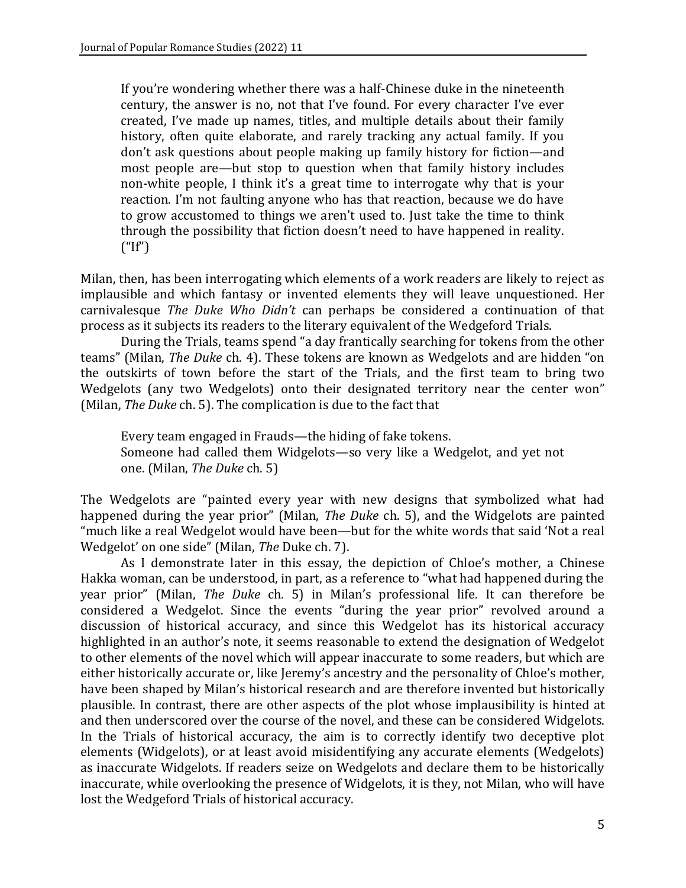If you're wondering whether there was a half-Chinese duke in the nineteenth century, the answer is no, not that I've found. For every character I've ever created, I've made up names, titles, and multiple details about their family history, often quite elaborate, and rarely tracking any actual family. If you don't ask questions about people making up family history for fiction—and most people are—but stop to question when that family history includes non-white people, I think it's a great time to interrogate why that is your reaction. I'm not faulting anyone who has that reaction, because we do have to grow accustomed to things we aren't used to. Just take the time to think through the possibility that fiction doesn't need to have happened in reality.  $("If")$ 

Milan, then, has been interrogating which elements of a work readers are likely to reject as implausible and which fantasy or invented elements they will leave unquestioned. Her carnivalesque *The Duke Who Didn't* can perhaps be considered a continuation of that process as it subjects its readers to the literary equivalent of the Wedgeford Trials.

During the Trials, teams spend "a day frantically searching for tokens from the other teams" (Milan, *The Duke* ch. 4). These tokens are known as Wedgelots and are hidden "on the outskirts of town before the start of the Trials, and the first team to bring two Wedgelots (any two Wedgelots) onto their designated territory near the center won" (Milan, *The Duke* ch. 5). The complication is due to the fact that

Every team engaged in Frauds—the hiding of fake tokens. Someone had called them Widgelots—so very like a Wedgelot, and yet not one. (Milan, *The Duke* ch. 5)

The Wedgelots are "painted every year with new designs that symbolized what had happened during the year prior" (Milan, *The Duke* ch. 5), and the Widgelots are painted "much like a real Wedgelot would have been—but for the white words that said 'Not a real Wedgelot' on one side" (Milan, *The* Duke ch. 7).

As I demonstrate later in this essay, the depiction of Chloe's mother, a Chinese Hakka woman, can be understood, in part, as a reference to "what had happened during the year prior" (Milan, *The Duke* ch. 5) in Milan's professional life. It can therefore be considered a Wedgelot. Since the events "during the year prior" revolved around a discussion of historical accuracy, and since this Wedgelot has its historical accuracy highlighted in an author's note, it seems reasonable to extend the designation of Wedgelot to other elements of the novel which will appear inaccurate to some readers, but which are either historically accurate or, like Jeremy's ancestry and the personality of Chloe's mother, have been shaped by Milan's historical research and are therefore invented but historically plausible. In contrast, there are other aspects of the plot whose implausibility is hinted at and then underscored over the course of the novel, and these can be considered Widgelots. In the Trials of historical accuracy, the aim is to correctly identify two deceptive plot elements (Widgelots), or at least avoid misidentifying any accurate elements (Wedgelots) as inaccurate Widgelots. If readers seize on Wedgelots and declare them to be historically inaccurate, while overlooking the presence of Widgelots, it is they, not Milan, who will have lost the Wedgeford Trials of historical accuracy.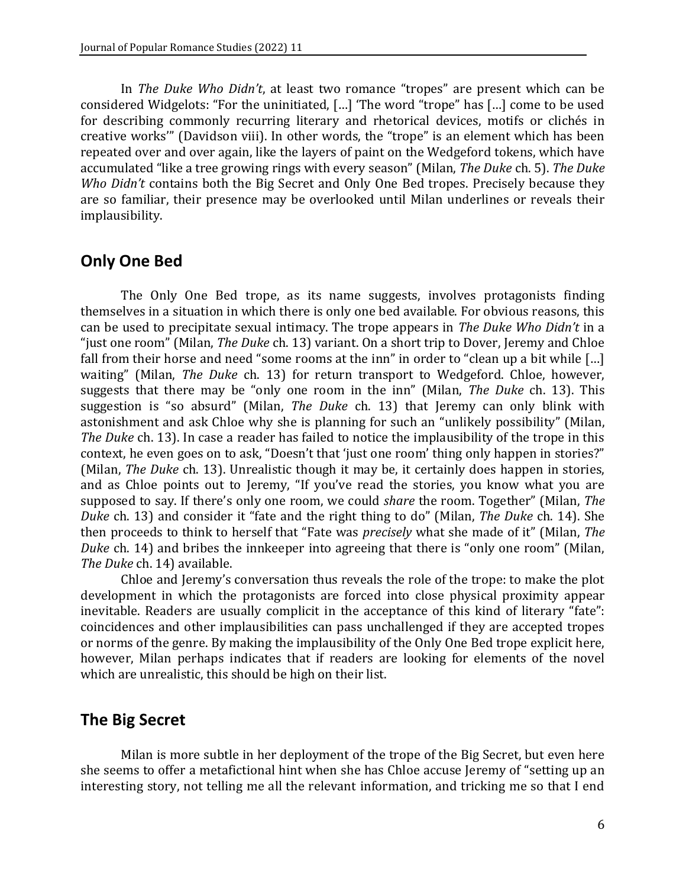In *The Duke Who Didn't*, at least two romance "tropes" are present which can be considered Widgelots: "For the uninitiated, […] 'The word "trope" has […] come to be used for describing commonly recurring literary and rhetorical devices, motifs or clichés in creative works'" (Davidson viii). In other words, the "trope" is an element which has been repeated over and over again, like the layers of paint on the Wedgeford tokens, which have accumulated "like a tree growing rings with every season" (Milan, *The Duke* ch. 5). *The Duke Who Didn't* contains both the Big Secret and Only One Bed tropes. Precisely because they are so familiar, their presence may be overlooked until Milan underlines or reveals their implausibility.

### **Only One Bed**

The Only One Bed trope, as its name suggests, involves protagonists finding themselves in a situation in which there is only one bed available. For obvious reasons, this can be used to precipitate sexual intimacy. The trope appears in *The Duke Who Didn't* in a "just one room" (Milan, *The Duke* ch. 13) variant. On a short trip to Dover, Jeremy and Chloe fall from their horse and need "some rooms at the inn" in order to "clean up a bit while […] waiting" (Milan, *The Duke* ch. 13) for return transport to Wedgeford. Chloe, however, suggests that there may be "only one room in the inn" (Milan, *The Duke* ch. 13). This suggestion is "so absurd" (Milan, *The Duke* ch. 13) that Jeremy can only blink with astonishment and ask Chloe why she is planning for such an "unlikely possibility" (Milan, *The Duke* ch. 13). In case a reader has failed to notice the implausibility of the trope in this context, he even goes on to ask, "Doesn't that 'just one room' thing only happen in stories?" (Milan, *The Duke* ch. 13). Unrealistic though it may be, it certainly does happen in stories, and as Chloe points out to Jeremy, "If you've read the stories, you know what you are supposed to say. If there's only one room, we could *share* the room. Together" (Milan, *The Duke* ch. 13) and consider it "fate and the right thing to do" (Milan, *The Duke* ch. 14). She then proceeds to think to herself that "Fate was *precisely* what she made of it" (Milan, *The Duke* ch. 14) and bribes the innkeeper into agreeing that there is "only one room" (Milan, *The Duke* ch. 14) available.

Chloe and Jeremy's conversation thus reveals the role of the trope: to make the plot development in which the protagonists are forced into close physical proximity appear inevitable. Readers are usually complicit in the acceptance of this kind of literary "fate": coincidences and other implausibilities can pass unchallenged if they are accepted tropes or norms of the genre. By making the implausibility of the Only One Bed trope explicit here, however, Milan perhaps indicates that if readers are looking for elements of the novel which are unrealistic, this should be high on their list.

## **The Big Secret**

Milan is more subtle in her deployment of the trope of the Big Secret, but even here she seems to offer a metafictional hint when she has Chloe accuse Jeremy of "setting up an interesting story, not telling me all the relevant information, and tricking me so that I end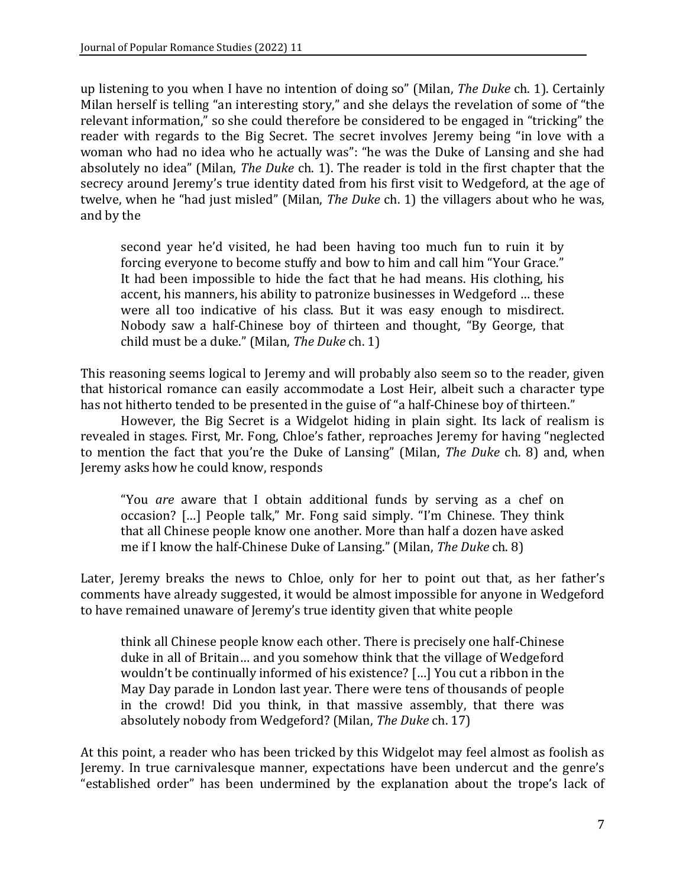up listening to you when I have no intention of doing so" (Milan, *The Duke* ch. 1). Certainly Milan herself is telling "an interesting story," and she delays the revelation of some of "the relevant information," so she could therefore be considered to be engaged in "tricking" the reader with regards to the Big Secret. The secret involves Jeremy being "in love with a woman who had no idea who he actually was": "he was the Duke of Lansing and she had absolutely no idea" (Milan, *The Duke* ch. 1). The reader is told in the first chapter that the secrecy around Jeremy's true identity dated from his first visit to Wedgeford, at the age of twelve, when he "had just misled" (Milan, *The Duke* ch. 1) the villagers about who he was, and by the

second year he'd visited, he had been having too much fun to ruin it by forcing everyone to become stuffy and bow to him and call him "Your Grace." It had been impossible to hide the fact that he had means. His clothing, his accent, his manners, his ability to patronize businesses in Wedgeford … these were all too indicative of his class. But it was easy enough to misdirect. Nobody saw a half-Chinese boy of thirteen and thought, "By George, that child must be a duke." (Milan, *The Duke* ch. 1)

This reasoning seems logical to Jeremy and will probably also seem so to the reader, given that historical romance can easily accommodate a Lost Heir, albeit such a character type has not hitherto tended to be presented in the guise of "a half-Chinese boy of thirteen."

However, the Big Secret is a Widgelot hiding in plain sight. Its lack of realism is revealed in stages. First, Mr. Fong, Chloe's father, reproaches Jeremy for having "neglected to mention the fact that you're the Duke of Lansing" (Milan, *The Duke* ch. 8) and, when Jeremy asks how he could know, responds

"You *are* aware that I obtain additional funds by serving as a chef on occasion? […] People talk," Mr. Fong said simply. "I'm Chinese. They think that all Chinese people know one another. More than half a dozen have asked me if I know the half-Chinese Duke of Lansing." (Milan, *The Duke* ch. 8)

Later, Jeremy breaks the news to Chloe, only for her to point out that, as her father's comments have already suggested, it would be almost impossible for anyone in Wedgeford to have remained unaware of Jeremy's true identity given that white people

think all Chinese people know each other. There is precisely one half-Chinese duke in all of Britain… and you somehow think that the village of Wedgeford wouldn't be continually informed of his existence? […] You cut a ribbon in the May Day parade in London last year. There were tens of thousands of people in the crowd! Did you think, in that massive assembly, that there was absolutely nobody from Wedgeford? (Milan, *The Duke* ch. 17)

At this point, a reader who has been tricked by this Widgelot may feel almost as foolish as Jeremy. In true carnivalesque manner, expectations have been undercut and the genre's "established order" has been undermined by the explanation about the trope's lack of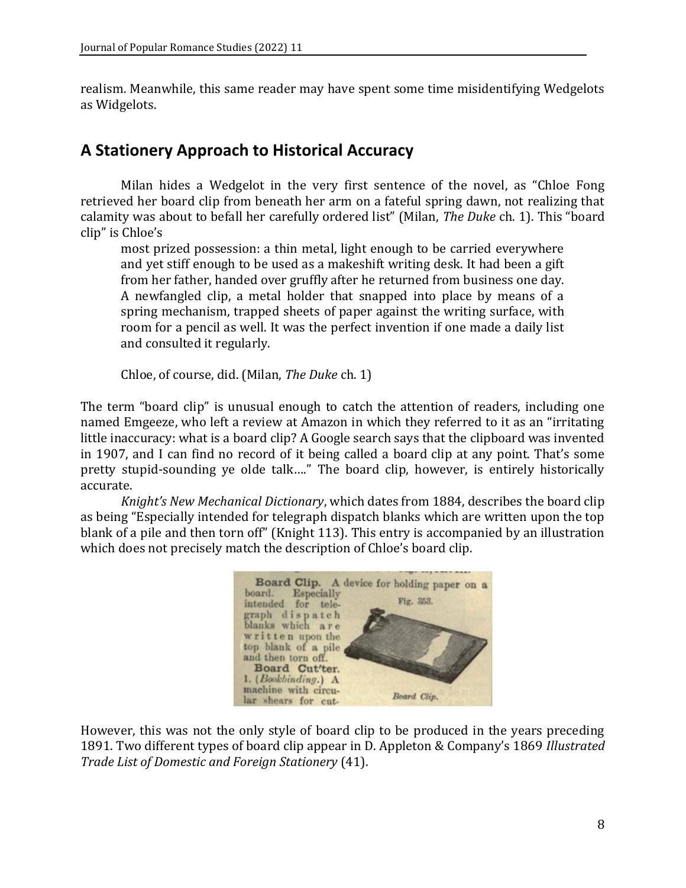realism. Meanwhile, this same reader may have spent some time misidentifying Wedgelots as Widgelots.

### **A Stationery Approach to Historical Accuracy**

Milan hides a Wedgelot in the very first sentence of the novel, as "Chloe Fong retrieved her board clip from beneath her arm on a fateful spring dawn, not realizing that calamity was about to befall her carefully ordered list" (Milan, *The Duke* ch. 1). This "board clip" is Chloe's

most prized possession: a thin metal, light enough to be carried everywhere and yet stiff enough to be used as a makeshift writing desk. It had been a gift from her father, handed over gruffly after he returned from business one day. A newfangled clip, a metal holder that snapped into place by means of a spring mechanism, trapped sheets of paper against the writing surface, with room for a pencil as well. It was the perfect invention if one made a daily list and consulted it regularly.

Chloe, of course, did. (Milan, *The Duke* ch. 1)

The term "board clip" is unusual enough to catch the attention of readers, including one named Emgeeze, who left a review at Amazon in which they referred to it as an "irritating little inaccuracy: what is a board clip? A Google search says that the clipboard was invented in 1907, and I can find no record of it being called a board clip at any point. That's some pretty stupid-sounding ye olde talk…." The board clip, however, is entirely historically accurate.

*Knight's New Mechanical Dictionary*, which dates from 1884, describes the board clip as being "Especially intended for telegraph dispatch blanks which are written upon the top blank of a pile and then torn off" (Knight 113). This entry is accompanied by an illustration which does not precisely match the description of Chloe's board clip.



However, this was not the only style of board clip to be produced in the years preceding 1891. Two different types of board clip appear in D. Appleton & Company's 1869 *Illustrated Trade List of Domestic and Foreign Stationery* (41).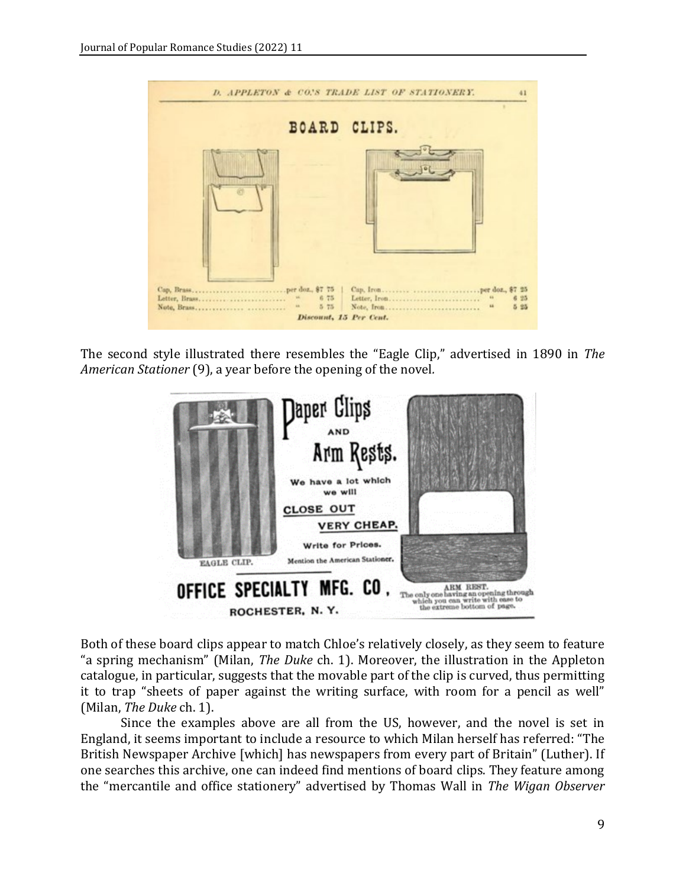

The second style illustrated there resembles the "Eagle Clip," advertised in 1890 in *The American Stationer* (9), a year before the opening of the novel*.*



Both of these board clips appear to match Chloe's relatively closely, as they seem to feature "a spring mechanism" (Milan, *The Duke* ch. 1). Moreover, the illustration in the Appleton catalogue, in particular, suggests that the movable part of the clip is curved, thus permitting it to trap "sheets of paper against the writing surface, with room for a pencil as well" (Milan, *The Duke* ch. 1).

Since the examples above are all from the US, however, and the novel is set in England, it seems important to include a resource to which Milan herself has referred: "The British Newspaper Archive [which] has newspapers from every part of Britain" (Luther). If one searches this archive, one can indeed find mentions of board clips. They feature among the "mercantile and office stationery" advertised by Thomas Wall in *The Wigan Observer*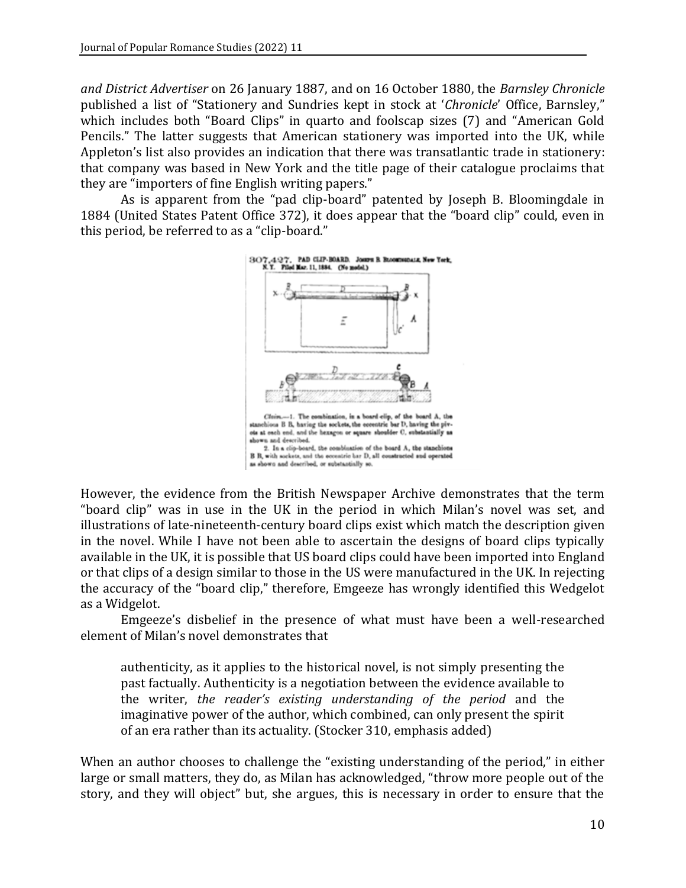*and District Advertiser* on 26 January 1887, and on 16 October 1880, the *Barnsley Chronicle* published a list of "Stationery and Sundries kept in stock at '*Chronicle*' Office, Barnsley," which includes both "Board Clips" in quarto and foolscap sizes (7) and "American Gold Pencils." The latter suggests that American stationery was imported into the UK, while Appleton's list also provides an indication that there was transatlantic trade in stationery: that company was based in New York and the title page of their catalogue proclaims that they are "importers of fine English writing papers."

As is apparent from the "pad clip-board" patented by Joseph B. Bloomingdale in 1884 (United States Patent Office 372), it does appear that the "board clip" could, even in this period, be referred to as a "clip-board."



However, the evidence from the British Newspaper Archive demonstrates that the term "board clip" was in use in the UK in the period in which Milan's novel was set, and illustrations of late-nineteenth-century board clips exist which match the description given in the novel. While I have not been able to ascertain the designs of board clips typically available in the UK, it is possible that US board clips could have been imported into England or that clips of a design similar to those in the US were manufactured in the UK. In rejecting the accuracy of the "board clip," therefore, Emgeeze has wrongly identified this Wedgelot as a Widgelot.

Emgeeze's disbelief in the presence of what must have been a well-researched element of Milan's novel demonstrates that

authenticity, as it applies to the historical novel, is not simply presenting the past factually. Authenticity is a negotiation between the evidence available to the writer, *the reader's existing understanding of the period* and the imaginative power of the author, which combined, can only present the spirit of an era rather than its actuality. (Stocker 310, emphasis added)

When an author chooses to challenge the "existing understanding of the period," in either large or small matters, they do, as Milan has acknowledged, "throw more people out of the story, and they will object" but, she argues, this is necessary in order to ensure that the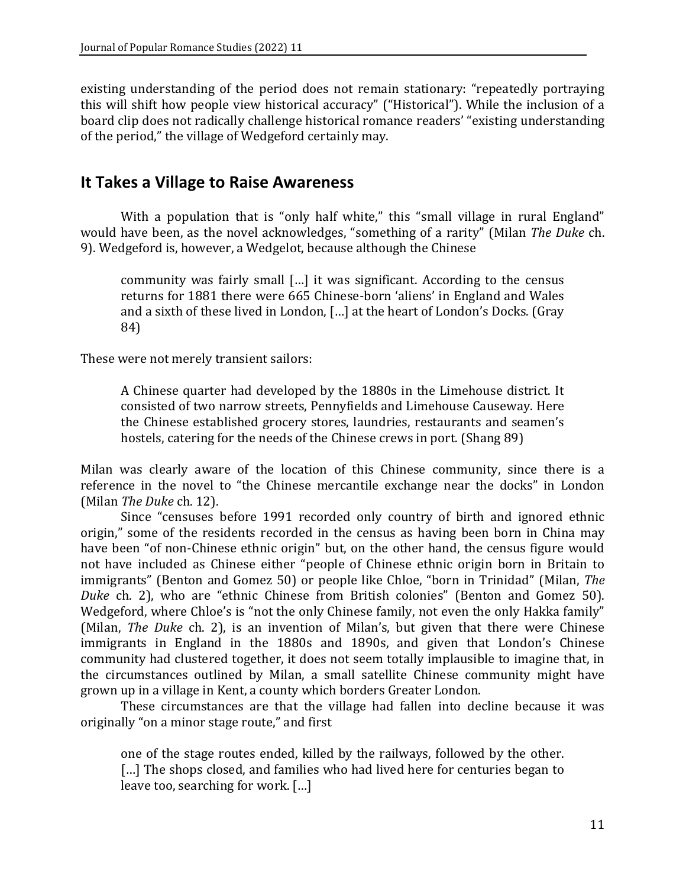existing understanding of the period does not remain stationary: "repeatedly portraying this will shift how people view historical accuracy" ("Historical"). While the inclusion of a board clip does not radically challenge historical romance readers' "existing understanding of the period," the village of Wedgeford certainly may.

### **It Takes a Village to Raise Awareness**

With a population that is "only half white," this "small village in rural England" would have been, as the novel acknowledges, "something of a rarity" (Milan *The Duke* ch. 9). Wedgeford is, however, a Wedgelot, because although the Chinese

community was fairly small […] it was significant. According to the census returns for 1881 there were 665 Chinese-born 'aliens' in England and Wales and a sixth of these lived in London, […] at the heart of London's Docks. (Gray 84)

These were not merely transient sailors:

A Chinese quarter had developed by the 1880s in the Limehouse district. It consisted of two narrow streets, Pennyfields and Limehouse Causeway. Here the Chinese established grocery stores, laundries, restaurants and seamen's hostels, catering for the needs of the Chinese crews in port. (Shang 89)

Milan was clearly aware of the location of this Chinese community, since there is a reference in the novel to "the Chinese mercantile exchange near the docks" in London (Milan *The Duke* ch. 12).

Since "censuses before 1991 recorded only country of birth and ignored ethnic origin," some of the residents recorded in the census as having been born in China may have been "of non-Chinese ethnic origin" but, on the other hand, the census figure would not have included as Chinese either "people of Chinese ethnic origin born in Britain to immigrants" (Benton and Gomez 50) or people like Chloe, "born in Trinidad" (Milan, *The Duke* ch. 2), who are "ethnic Chinese from British colonies" (Benton and Gomez 50). Wedgeford, where Chloe's is "not the only Chinese family, not even the only Hakka family" (Milan, *The Duke* ch. 2), is an invention of Milan's, but given that there were Chinese immigrants in England in the 1880s and 1890s, and given that London's Chinese community had clustered together, it does not seem totally implausible to imagine that, in the circumstances outlined by Milan, a small satellite Chinese community might have grown up in a village in Kent, a county which borders Greater London.

These circumstances are that the village had fallen into decline because it was originally "on a minor stage route," and first

one of the stage routes ended, killed by the railways, followed by the other. [...] The shops closed, and families who had lived here for centuries began to leave too, searching for work. […]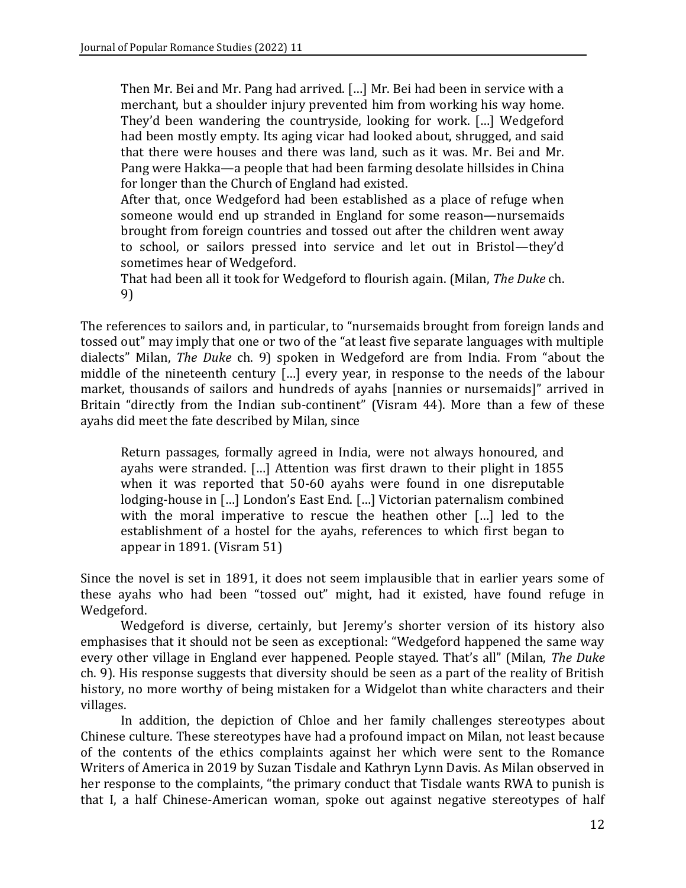Then Mr. Bei and Mr. Pang had arrived. […] Mr. Bei had been in service with a merchant, but a shoulder injury prevented him from working his way home. They'd been wandering the countryside, looking for work. […] Wedgeford had been mostly empty. Its aging vicar had looked about, shrugged, and said that there were houses and there was land, such as it was. Mr. Bei and Mr. Pang were Hakka—a people that had been farming desolate hillsides in China for longer than the Church of England had existed.

After that, once Wedgeford had been established as a place of refuge when someone would end up stranded in England for some reason—nursemaids brought from foreign countries and tossed out after the children went away to school, or sailors pressed into service and let out in Bristol—they'd sometimes hear of Wedgeford.

That had been all it took for Wedgeford to flourish again. (Milan, *The Duke* ch. 9)

The references to sailors and, in particular, to "nursemaids brought from foreign lands and tossed out" may imply that one or two of the "at least five separate languages with multiple dialects" Milan, *The Duke* ch. 9) spoken in Wedgeford are from India. From "about the middle of the nineteenth century […] every year, in response to the needs of the labour market, thousands of sailors and hundreds of ayahs [nannies or nursemaids]" arrived in Britain "directly from the Indian sub-continent" (Visram 44). More than a few of these ayahs did meet the fate described by Milan, since

Return passages, formally agreed in India, were not always honoured, and ayahs were stranded. […] Attention was first drawn to their plight in 1855 when it was reported that 50-60 ayahs were found in one disreputable lodging-house in […] London's East End. […] Victorian paternalism combined with the moral imperative to rescue the heathen other […] led to the establishment of a hostel for the ayahs, references to which first began to appear in 1891. (Visram 51)

Since the novel is set in 1891, it does not seem implausible that in earlier years some of these ayahs who had been "tossed out" might, had it existed, have found refuge in Wedgeford.

Wedgeford is diverse, certainly, but Jeremy's shorter version of its history also emphasises that it should not be seen as exceptional: "Wedgeford happened the same way every other village in England ever happened. People stayed. That's all" (Milan, *The Duke*  ch. 9). His response suggests that diversity should be seen as a part of the reality of British history, no more worthy of being mistaken for a Widgelot than white characters and their villages.

In addition, the depiction of Chloe and her family challenges stereotypes about Chinese culture. These stereotypes have had a profound impact on Milan, not least because of the contents of the ethics complaints against her which were sent to the Romance Writers of America in 2019 by Suzan Tisdale and Kathryn Lynn Davis. As Milan observed in her response to the complaints, "the primary conduct that Tisdale wants RWA to punish is that I, a half Chinese-American woman, spoke out against negative stereotypes of half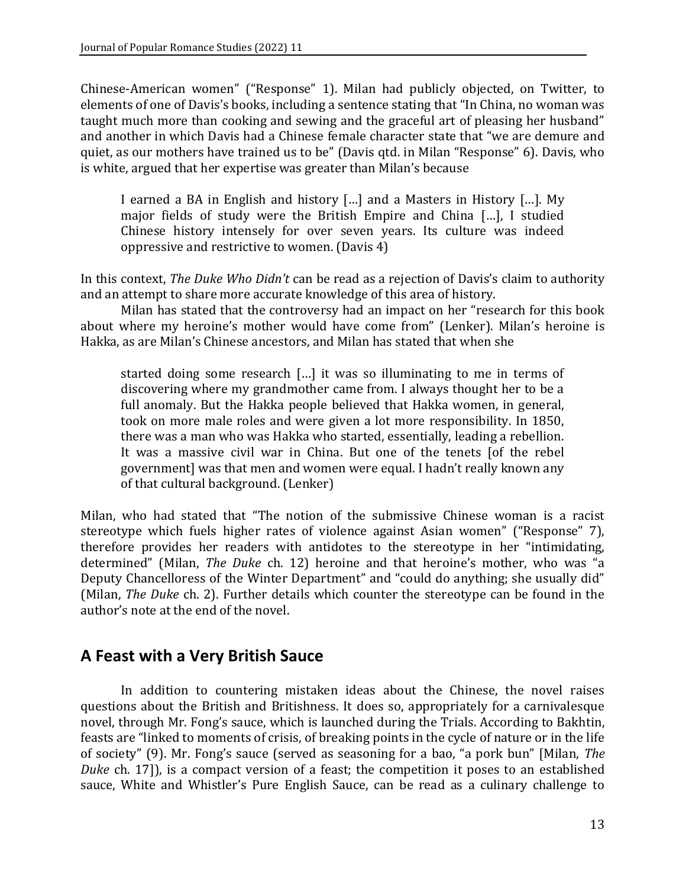Chinese-American women" ("Response" 1). Milan had publicly objected, on Twitter, to elements of one of Davis's books, including a sentence stating that "In China, no woman was taught much more than cooking and sewing and the graceful art of pleasing her husband" and another in which Davis had a Chinese female character state that "we are demure and quiet, as our mothers have trained us to be" (Davis qtd. in Milan "Response" 6). Davis, who is white, argued that her expertise was greater than Milan's because

I earned a BA in English and history […] and a Masters in History […]. My major fields of study were the British Empire and China […], I studied Chinese history intensely for over seven years. Its culture was indeed oppressive and restrictive to women. (Davis 4)

In this context, *The Duke Who Didn't* can be read as a rejection of Davis's claim to authority and an attempt to share more accurate knowledge of this area of history.

Milan has stated that the controversy had an impact on her "research for this book about where my heroine's mother would have come from" (Lenker). Milan's heroine is Hakka, as are Milan's Chinese ancestors, and Milan has stated that when she

started doing some research […] it was so illuminating to me in terms of discovering where my grandmother came from. I always thought her to be a full anomaly. But the Hakka people believed that Hakka women, in general, took on more male roles and were given a lot more responsibility. In 1850, there was a man who was Hakka who started, essentially, leading a rebellion. It was a massive civil war in China. But one of the tenets [of the rebel government] was that men and women were equal. I hadn't really known any of that cultural background. (Lenker)

Milan, who had stated that "The notion of the submissive Chinese woman is a racist stereotype which fuels higher rates of violence against Asian women" ("Response" 7), therefore provides her readers with antidotes to the stereotype in her "intimidating, determined" (Milan, *The Duke* ch. 12) heroine and that heroine's mother, who was "a Deputy Chancelloress of the Winter Department" and "could do anything; she usually did" (Milan, *The Duke* ch. 2). Further details which counter the stereotype can be found in the author's note at the end of the novel.

### **A Feast with a Very British Sauce**

In addition to countering mistaken ideas about the Chinese, the novel raises questions about the British and Britishness. It does so, appropriately for a carnivalesque novel, through Mr. Fong's sauce, which is launched during the Trials. According to Bakhtin, feasts are "linked to moments of crisis, of breaking points in the cycle of nature or in the life of society" (9). Mr. Fong's sauce (served as seasoning for a bao, "a pork bun" [Milan, *The Duke* ch. 17]), is a compact version of a feast; the competition it poses to an established sauce, White and Whistler's Pure English Sauce, can be read as a culinary challenge to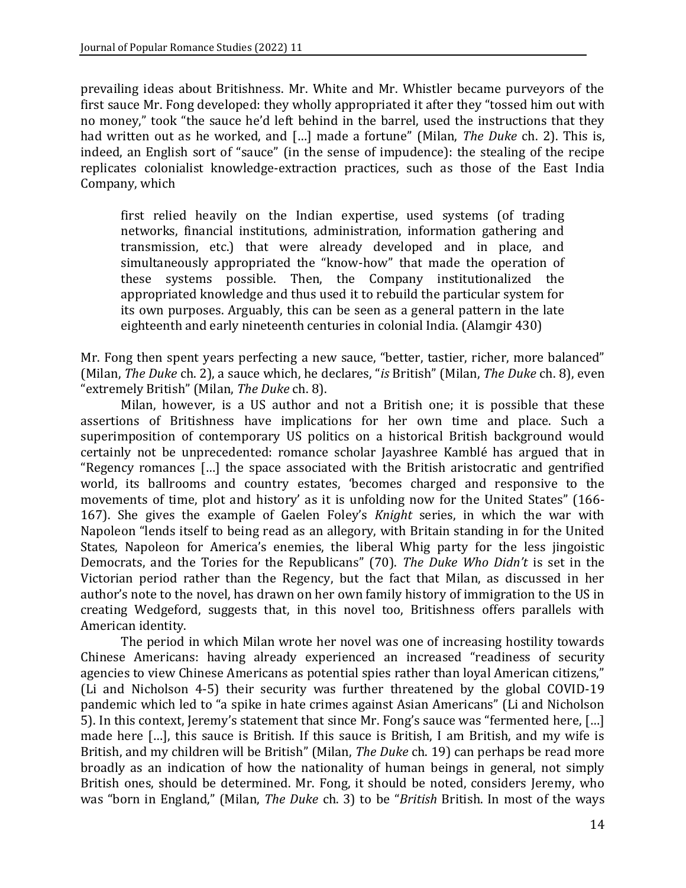prevailing ideas about Britishness. Mr. White and Mr. Whistler became purveyors of the first sauce Mr. Fong developed: they wholly appropriated it after they "tossed him out with no money," took "the sauce he'd left behind in the barrel, used the instructions that they had written out as he worked, and […] made a fortune" (Milan, *The Duke* ch. 2). This is, indeed, an English sort of "sauce" (in the sense of impudence): the stealing of the recipe replicates colonialist knowledge-extraction practices, such as those of the East India Company, which

first relied heavily on the Indian expertise, used systems (of trading networks, financial institutions, administration, information gathering and transmission, etc.) that were already developed and in place, and simultaneously appropriated the "know-how" that made the operation of these systems possible. Then, the Company institutionalized the appropriated knowledge and thus used it to rebuild the particular system for its own purposes. Arguably, this can be seen as a general pattern in the late eighteenth and early nineteenth centuries in colonial India. (Alamgir 430)

Mr. Fong then spent years perfecting a new sauce, "better, tastier, richer, more balanced" (Milan, *The Duke* ch. 2), a sauce which, he declares, "*is* British" (Milan, *The Duke* ch. 8), even "extremely British" (Milan, *The Duke* ch. 8).

Milan, however, is a US author and not a British one; it is possible that these assertions of Britishness have implications for her own time and place. Such a superimposition of contemporary US politics on a historical British background would certainly not be unprecedented: romance scholar Jayashree Kamblé has argued that in "Regency romances […] the space associated with the British aristocratic and gentrified world, its ballrooms and country estates, 'becomes charged and responsive to the movements of time, plot and history' as it is unfolding now for the United States" (166- 167). She gives the example of Gaelen Foley's *Knight* series, in which the war with Napoleon "lends itself to being read as an allegory, with Britain standing in for the United States, Napoleon for America's enemies, the liberal Whig party for the less jingoistic Democrats, and the Tories for the Republicans" (70). *The Duke Who Didn't* is set in the Victorian period rather than the Regency, but the fact that Milan, as discussed in her author's note to the novel, has drawn on her own family history of immigration to the US in creating Wedgeford, suggests that, in this novel too, Britishness offers parallels with American identity.

The period in which Milan wrote her novel was one of increasing hostility towards Chinese Americans: having already experienced an increased "readiness of security agencies to view Chinese Americans as potential spies rather than loyal American citizens," (Li and Nicholson 4-5) their security was further threatened by the global COVID-19 pandemic which led to "a spike in hate crimes against Asian Americans" (Li and Nicholson 5). In this context, Jeremy's statement that since Mr. Fong's sauce was "fermented here, […] made here […], this sauce is British. If this sauce is British, I am British, and my wife is British, and my children will be British" (Milan, *The Duke* ch. 19) can perhaps be read more broadly as an indication of how the nationality of human beings in general, not simply British ones, should be determined. Mr. Fong, it should be noted, considers Jeremy, who was "born in England," (Milan, *The Duke* ch. 3) to be "*British* British. In most of the ways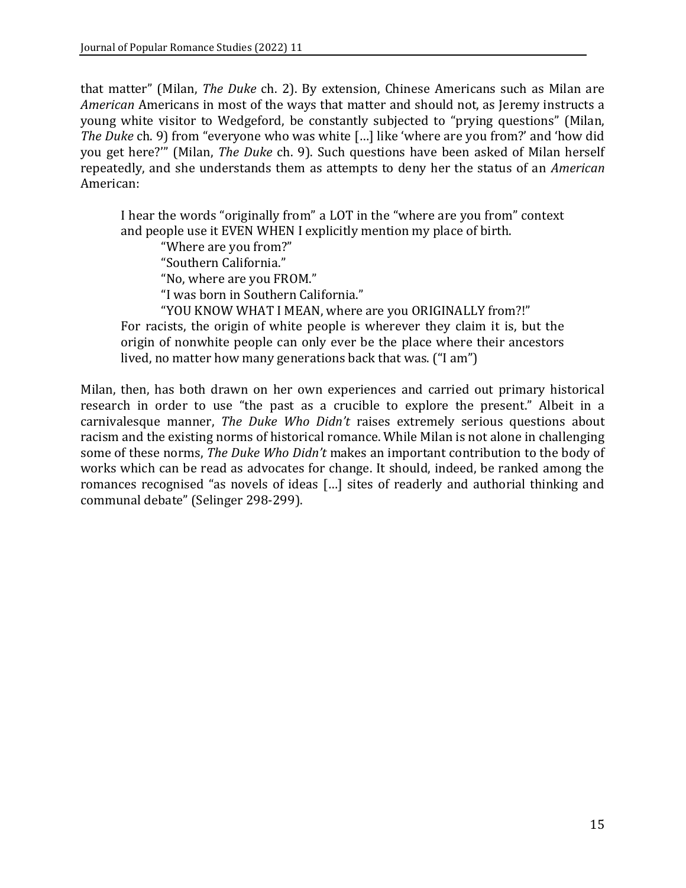that matter" (Milan, *The Duke* ch. 2). By extension, Chinese Americans such as Milan are *American* Americans in most of the ways that matter and should not, as Jeremy instructs a young white visitor to Wedgeford, be constantly subjected to "prying questions" (Milan, *The Duke* ch. 9) from "everyone who was white […] like 'where are you from?' and 'how did you get here?'" (Milan, *The Duke* ch. 9). Such questions have been asked of Milan herself repeatedly, and she understands them as attempts to deny her the status of an *American*  American:

I hear the words "originally from" a LOT in the "where are you from" context and people use it EVEN WHEN I explicitly mention my place of birth.

"Where are you from?"

"Southern California."

"No, where are you FROM."

"I was born in Southern California."

"YOU KNOW WHAT I MEAN, where are you ORIGINALLY from?!"

For racists, the origin of white people is wherever they claim it is, but the origin of nonwhite people can only ever be the place where their ancestors lived, no matter how many generations back that was. ("I am")

Milan, then, has both drawn on her own experiences and carried out primary historical research in order to use "the past as a crucible to explore the present." Albeit in a carnivalesque manner, *The Duke Who Didn't* raises extremely serious questions about racism and the existing norms of historical romance. While Milan is not alone in challenging some of these norms, *The Duke Who Didn't* makes an important contribution to the body of works which can be read as advocates for change. It should, indeed, be ranked among the romances recognised "as novels of ideas […] sites of readerly and authorial thinking and communal debate" (Selinger 298-299).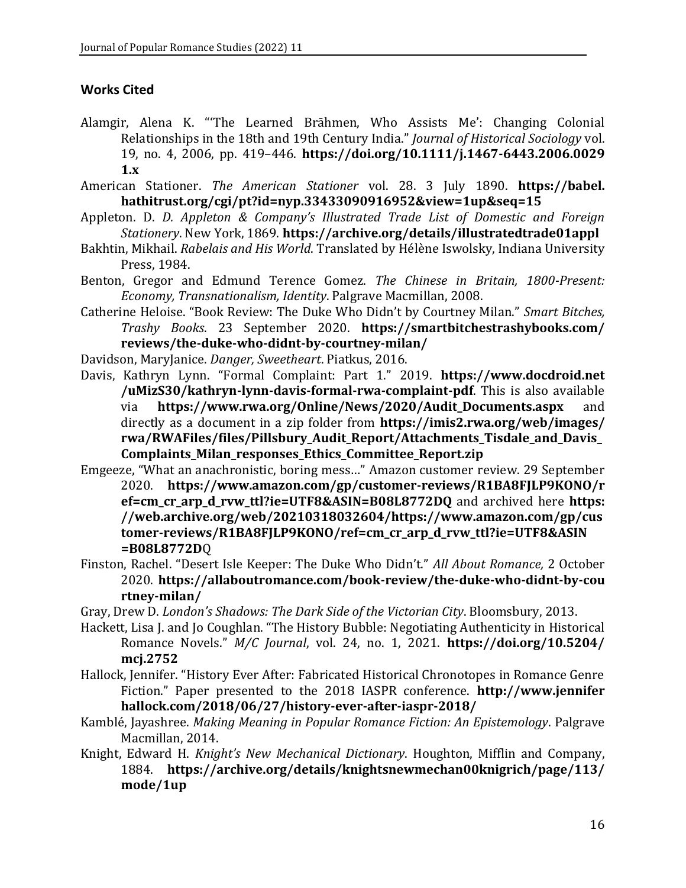#### **Works Cited**

- Alamgir, Alena K. "'The Learned Brāhmen, Who Assists Me': Changing Colonial Relationships in the 18th and 19th Century India." *Journal of Historical Sociology* vol. 19, no. 4, 2006, pp. 419–446. **[https://doi.org/10.1111/j.1467-6443.2006.0029](https://doi.org/10.1111/j.1467-6443.2006.0029%201.x)  [1.x](https://doi.org/10.1111/j.1467-6443.2006.0029%201.x)**
- American Stationer. *The American Stationer* vol. 28. 3 July 1890. **https://babel. hathitrust.org/cgi/pt?id=nyp.33433090916952&view=1up&seq=15**
- Appleton. D. *D. Appleton & Company's Illustrated Trade List of Domestic and Foreign Stationery*. New York, 1869. **<https://archive.org/details/illustratedtrade01appl>**
- Bakhtin, Mikhail. *Rabelais and His World*. Translated by Hélène Iswolsky, Indiana University Press, 1984.
- Benton, Gregor and Edmund Terence Gomez. *The Chinese in Britain, 1800-Present: Economy, Transnationalism, Identity*. Palgrave Macmillan, 2008.
- Catherine Heloise. "Book Review: The Duke Who Didn't by Courtney Milan." *Smart Bitches, Trashy Books*. 23 September 2020. **[https://smartbitchestrashybooks.com/](https://smartbitchestrashybooks.com/%20reviews/the-duke-who-didnt-by-courtney-milan/)  [reviews/the-duke-who-didnt-by-courtney-milan/](https://smartbitchestrashybooks.com/%20reviews/the-duke-who-didnt-by-courtney-milan/)**
- Davidson, MaryJanice. *Danger, Sweetheart*. Piatkus, 2016.
- Davis, Kathryn Lynn. "Formal Complaint: Part 1." 2019. **https://www.docdroid.net /uMizS30/kathryn-lynn-davis-formal-rwa-complaint-pdf**. This is also available via **[https://www.rwa.org/Online/News/2020/Audit\\_Documents.aspx](https://www.rwa.org/Online/News/2020/Audit_Documents.aspx)** and directly as a document in a zip folder from **[https://imis2.rwa.org/web/images/](https://imis2.rwa.org/web/images/%20rwa/RWAFiles/files/Pillsbury_Audit_Report/Attachments_Tisdale_and_Davis_Complaints_Milan_responses_Ethics_Committee_Report.zip)  [rwa/RWAFiles/files/Pillsbury\\_Audit\\_Report/Attachments\\_Tisdale\\_and\\_Davis\\_](https://imis2.rwa.org/web/images/%20rwa/RWAFiles/files/Pillsbury_Audit_Report/Attachments_Tisdale_and_Davis_Complaints_Milan_responses_Ethics_Committee_Report.zip) [Complaints\\_Milan\\_responses\\_Ethics\\_Committee\\_Report.zip](https://imis2.rwa.org/web/images/%20rwa/RWAFiles/files/Pillsbury_Audit_Report/Attachments_Tisdale_and_Davis_Complaints_Milan_responses_Ethics_Committee_Report.zip)**
- Emgeeze, "What an anachronistic, boring mess…" Amazon customer review. 29 September 2020. **[https://www.amazon.com/gp/customer-reviews/R1BA8FJLP9KONO/r](https://www.amazon.com/gp/customer-reviews/R1BA8FJLP9KONO/r%20ef=cm_cr_arp_d_rvw_ttl?)  [ef=cm\\_cr\\_arp\\_d\\_rvw\\_ttl?](https://www.amazon.com/gp/customer-reviews/R1BA8FJLP9KONO/r%20ef=cm_cr_arp_d_rvw_ttl?)[ie=UTF8&ASIN=B08L8772DQ](https://www.amazon.com/gp/customer-reviews/R1BA8FJLP9KONO/ref=cm_cr_arp_d_rvw_ttl?ie=UTF8&ASIN=B08L8772DQ)** and archived here **[https:](https://web.archive.org/web/20210318032604/https:/www.amazon.com/gp/customer-reviews/R1BA8FJLP9KONO/ref=cm_cr_arp_d_rvw_ttl?ie=UTF8&ASIN=B08L8772DQ) [//web.archive.org/web/20210318032604/https://www.amazon.com/gp/cus](https://web.archive.org/web/20210318032604/https:/www.amazon.com/gp/customer-reviews/R1BA8FJLP9KONO/ref=cm_cr_arp_d_rvw_ttl?ie=UTF8&ASIN=B08L8772DQ) [tomer-reviews/R1BA8FJLP9KONO/ref=cm\\_cr\\_arp\\_d\\_rvw\\_ttl?ie=UTF8&ASIN](https://web.archive.org/web/20210318032604/https:/www.amazon.com/gp/customer-reviews/R1BA8FJLP9KONO/ref=cm_cr_arp_d_rvw_ttl?ie=UTF8&ASIN=B08L8772DQ) [=B08L8772D](https://web.archive.org/web/20210318032604/https:/www.amazon.com/gp/customer-reviews/R1BA8FJLP9KONO/ref=cm_cr_arp_d_rvw_ttl?ie=UTF8&ASIN=B08L8772DQ)**Q
- Finston, Rachel. "Desert Isle Keeper: The Duke Who Didn't." *All About Romance,* 2 October 2020. **[https://allaboutromance.com/book-review/the-duke-who-didnt-by-cou](https://allaboutromance.com/book-review/the-duke-who-didnt-by-cou%20rtney-milan/)  [rtney-milan/](https://allaboutromance.com/book-review/the-duke-who-didnt-by-cou%20rtney-milan/)**
- Gray, Drew D. *London's Shadows: The Dark Side of the Victorian City*. Bloomsbury, 2013.
- Hackett, Lisa J. and Jo Coughlan. "The History Bubble: Negotiating Authenticity in Historical Romance Novels." *M/C Journal*, vol. 24, no. 1, 2021. **[https://doi.org/10.5204/](https://doi.org/10.5204/%20mcj.2752)  [mcj.2752](https://doi.org/10.5204/%20mcj.2752)**
- Hallock, Jennifer. "History Ever After: Fabricated Historical Chronotopes in Romance Genre Fiction." Paper presented to the 2018 IASPR conference. **http://www.jennifer hallock.com/2018/06/27/history-ever-after-iaspr-2018/**
- Kamblé, Jayashree. *Making Meaning in Popular Romance Fiction: An Epistemology*. Palgrave Macmillan, 2014.
- Knight, Edward H. *Knight's New Mechanical Dictionary*. Houghton, Mifflin and Company, 1884. **[https://archive.org/details/knightsnewmechan00knigrich/page/113/](https://archive.org/details/knightsnewmechan00knigrich/page/113/%20mode/1up)  [mode/1up](https://archive.org/details/knightsnewmechan00knigrich/page/113/%20mode/1up)**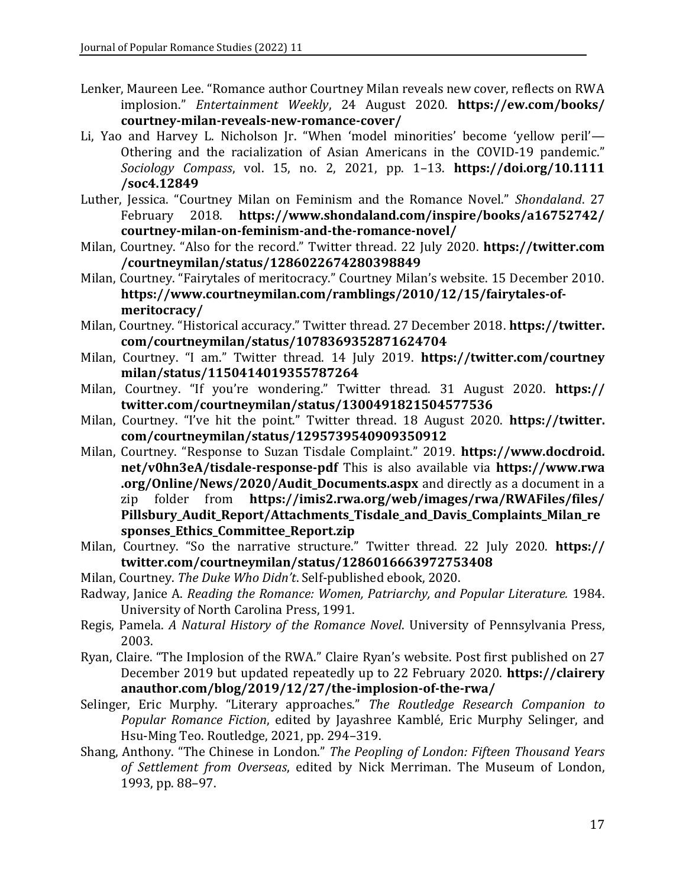- Lenker, Maureen Lee. "Romance author Courtney Milan reveals new cover, reflects on RWA implosion." *Entertainment Weekly*, 24 August 2020. **[https://ew.com/books/](https://ew.com/books/%20courtney-milan-reveals-new-romance-cover/)  [courtney-milan-reveals-new-romance-cover/](https://ew.com/books/%20courtney-milan-reveals-new-romance-cover/)**
- Li, Yao and Harvey L. Nicholson Jr. "When 'model minorities' become 'yellow peril'— Othering and the racialization of Asian Americans in the COVID-19 pandemic." *Sociology Compass*, vol. 15, no. 2, 2021, pp. 1–13. **[https://doi.org/10.1111](https://doi.org/10.1111%20/soc4.12849)  [/soc4.12849](https://doi.org/10.1111%20/soc4.12849)**
- Luther, Jessica. "Courtney Milan on Feminism and the Romance Novel." *Shondaland*. 27 February 2018. **[https://www.shondaland.com/inspire/books/a16752742/](https://www.shondaland.com/inspire/books/a16752742/%20courtney-milan-on-feminism-and-the-romance-novel/)  [courtney-milan-on-feminism-and-the-romance-novel/](https://www.shondaland.com/inspire/books/a16752742/%20courtney-milan-on-feminism-and-the-romance-novel/)**
- Milan, Courtney. "Also for the record." Twitter thread. 22 July 2020. **https://twitter.com /courtneymilan/status/1286022674280398849**
- Milan, Courtney. "Fairytales of meritocracy." Courtney Milan's website. 15 December 2010. **[https://www.courtneymilan.com/ramblings/2010/12/15/fairytales-of](https://www.courtneymilan.com/ramblings/2010/12/15/fairytales-of-meritocracy/)[meritocracy/](https://www.courtneymilan.com/ramblings/2010/12/15/fairytales-of-meritocracy/)**
- Milan, Courtney. "Historical accuracy." Twitter thread. 27 December 2018. **https://twitter. com/courtneymilan/status/1078369352871624704**
- Milan, Courtney. "I am." Twitter thread. 14 July 2019. **[https://twitter.com/courtney](https://twitter.com/courtney%20milan/status/1150414019355787264)  [milan/status/1150414019355787264](https://twitter.com/courtney%20milan/status/1150414019355787264)**
- Milan, Courtney. "If you're wondering." Twitter thread. 31 August 2020. **https:// twitter.com/courtneymilan/status/1300491821504577536**
- Milan, Courtney. "I've hit the point." Twitter thread. 18 August 2020. **https://twitter. com/courtneymilan/status/1295739540909350912**
- Milan, Courtney. "Response to Suzan Tisdale Complaint." 2019. **https://www.docdroid. net/v0hn3eA/tisdale-response-pdf** This is also available via **https://www.rwa .org/Online/News/2020/Audit\_Documents.aspx** and directly as a document in a zip folder from **[https://imis2.rwa.org/web/images/rwa/RWAFiles/files/](https://imis2.rwa.org/web/images/rwa/RWAFiles/files/%20Pillsbury_Audit_Report/Attachments_Tisdale_and_Davis_Complaints_Milan_responses_Ethics_Committee_Report.zip)  [Pillsbury\\_Audit\\_Report/Attachments\\_Tisdale\\_and\\_Davis\\_Complaints\\_Milan\\_re](https://imis2.rwa.org/web/images/rwa/RWAFiles/files/%20Pillsbury_Audit_Report/Attachments_Tisdale_and_Davis_Complaints_Milan_responses_Ethics_Committee_Report.zip) [sponses\\_Ethics\\_Committee\\_Report.zip](https://imis2.rwa.org/web/images/rwa/RWAFiles/files/%20Pillsbury_Audit_Report/Attachments_Tisdale_and_Davis_Complaints_Milan_responses_Ethics_Committee_Report.zip)**
- Milan, Courtney. "So the narrative structure." Twitter thread. 22 July 2020. **https:// twitter.com/courtneymilan/status/1286016663972753408**
- Milan, Courtney. *The Duke Who Didn't*. Self-published ebook, 2020.
- Radway, Janice A. *Reading the Romance: Women, Patriarchy, and Popular Literature.* 1984. University of North Carolina Press, 1991.
- Regis, Pamela. *A Natural History of the Romance Novel*. University of Pennsylvania Press, 2003.
- Ryan, Claire. "The Implosion of the RWA." Claire Ryan's website. Post first published on 27 December 2019 but updated repeatedly up to 22 February 2020. **https://clairery anauthor.com/blog/2019/12/27/the-implosion-of-the-rwa/**
- Selinger, Eric Murphy. "Literary approaches." *The Routledge Research Companion to Popular Romance Fiction*, edited by Jayashree Kamblé, Eric Murphy Selinger, and Hsu-Ming Teo. Routledge, 2021, pp. 294–319.
- Shang, Anthony. "The Chinese in London." *The Peopling of London: Fifteen Thousand Years of Settlement from Overseas*, edited by Nick Merriman. The Museum of London, 1993, pp. 88–97.